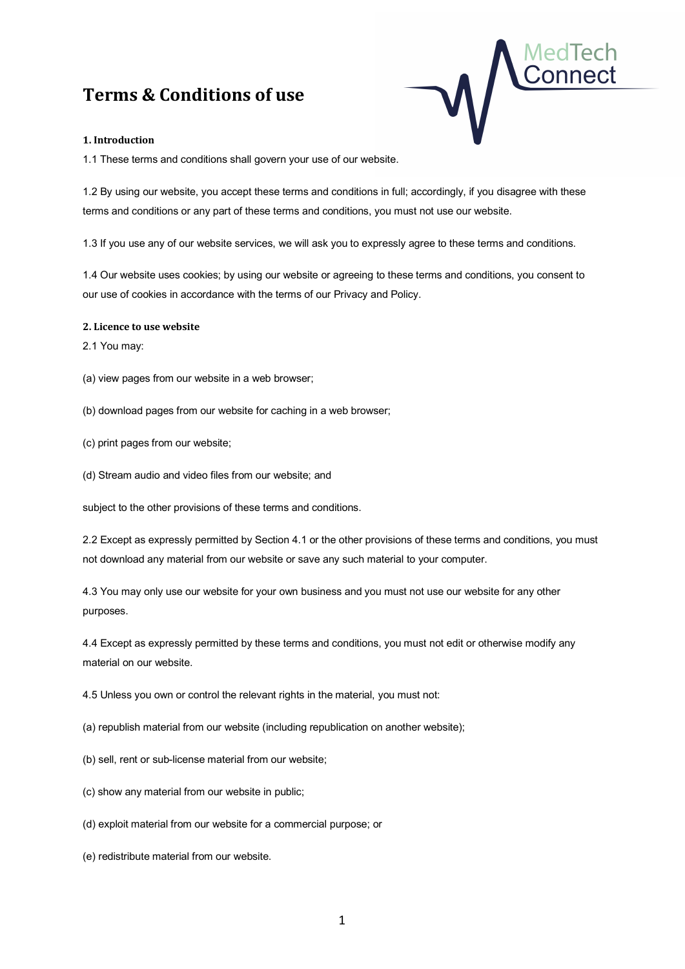# **Terms & Conditions of use**



#### **1. Introduction**

1.1 These terms and conditions shall govern your use of our website.

1.2 By using our website, you accept these terms and conditions in full; accordingly, if you disagree with these terms and conditions or any part of these terms and conditions, you must not use our website.

1.3 If you use any of our website services, we will ask you to expressly agree to these terms and conditions.

1.4 Our website uses cookies; by using our website or agreeing to these terms and conditions, you consent to our use of cookies in accordance with the terms of our Privacy and Policy.

#### **2. Licence to use website**

2.1 You may:

(a) view pages from our website in a web browser;

- (b) download pages from our website for caching in a web browser;
- (c) print pages from our website;
- (d) Stream audio and video files from our website; and

subject to the other provisions of these terms and conditions.

2.2 Except as expressly permitted by Section 4.1 or the other provisions of these terms and conditions, you must not download any material from our website or save any such material to your computer.

4.3 You may only use our website for your own business and you must not use our website for any other purposes.

4.4 Except as expressly permitted by these terms and conditions, you must not edit or otherwise modify any material on our website.

4.5 Unless you own or control the relevant rights in the material, you must not:

(a) republish material from our website (including republication on another website);

(b) sell, rent or sub-license material from our website;

(c) show any material from our website in public;

(d) exploit material from our website for a commercial purpose; or

(e) redistribute material from our website.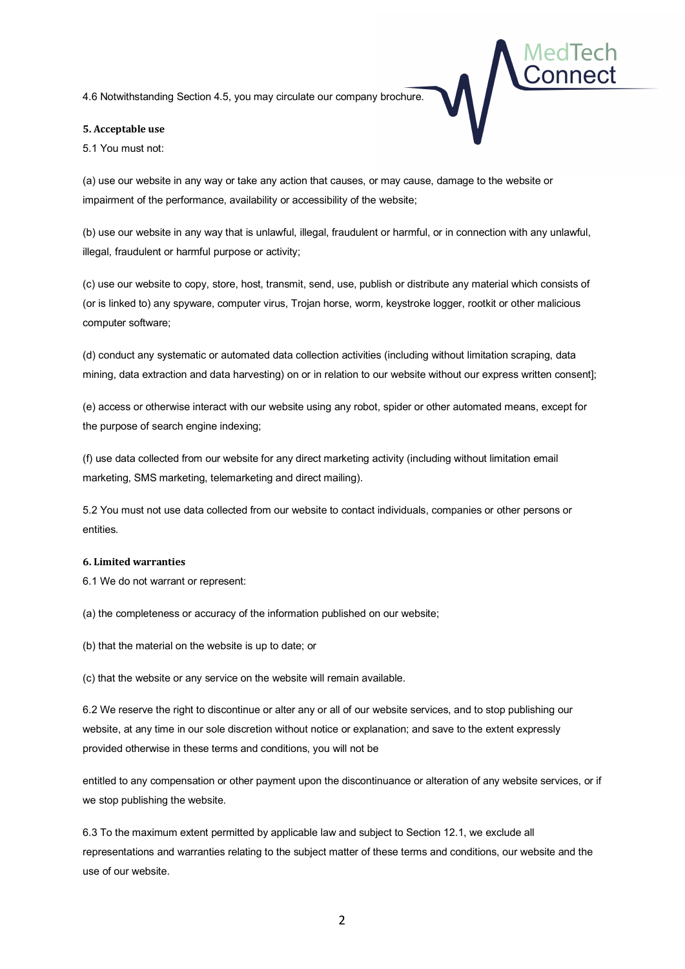4.6 Notwithstanding Section 4.5, you may circulate our company brochure.

#### **5. Acceptable use**

5.1 You must not:

MedTech Connect

(a) use our website in any way or take any action that causes, or may cause, damage to the website or impairment of the performance, availability or accessibility of the website;

(b) use our website in any way that is unlawful, illegal, fraudulent or harmful, or in connection with any unlawful, illegal, fraudulent or harmful purpose or activity;

(c) use our website to copy, store, host, transmit, send, use, publish or distribute any material which consists of (or is linked to) any spyware, computer virus, Trojan horse, worm, keystroke logger, rootkit or other malicious computer software;

(d) conduct any systematic or automated data collection activities (including without limitation scraping, data mining, data extraction and data harvesting) on or in relation to our website without our express written consent];

(e) access or otherwise interact with our website using any robot, spider or other automated means, except for the purpose of search engine indexing;

(f) use data collected from our website for any direct marketing activity (including without limitation email marketing, SMS marketing, telemarketing and direct mailing).

5.2 You must not use data collected from our website to contact individuals, companies or other persons or entities.

#### **6. Limited warranties**

6.1 We do not warrant or represent:

(a) the completeness or accuracy of the information published on our website;

(b) that the material on the website is up to date; or

(c) that the website or any service on the website will remain available.

6.2 We reserve the right to discontinue or alter any or all of our website services, and to stop publishing our website, at any time in our sole discretion without notice or explanation; and save to the extent expressly provided otherwise in these terms and conditions, you will not be

entitled to any compensation or other payment upon the discontinuance or alteration of any website services, or if we stop publishing the website.

6.3 To the maximum extent permitted by applicable law and subject to Section 12.1, we exclude all representations and warranties relating to the subject matter of these terms and conditions, our website and the use of our website.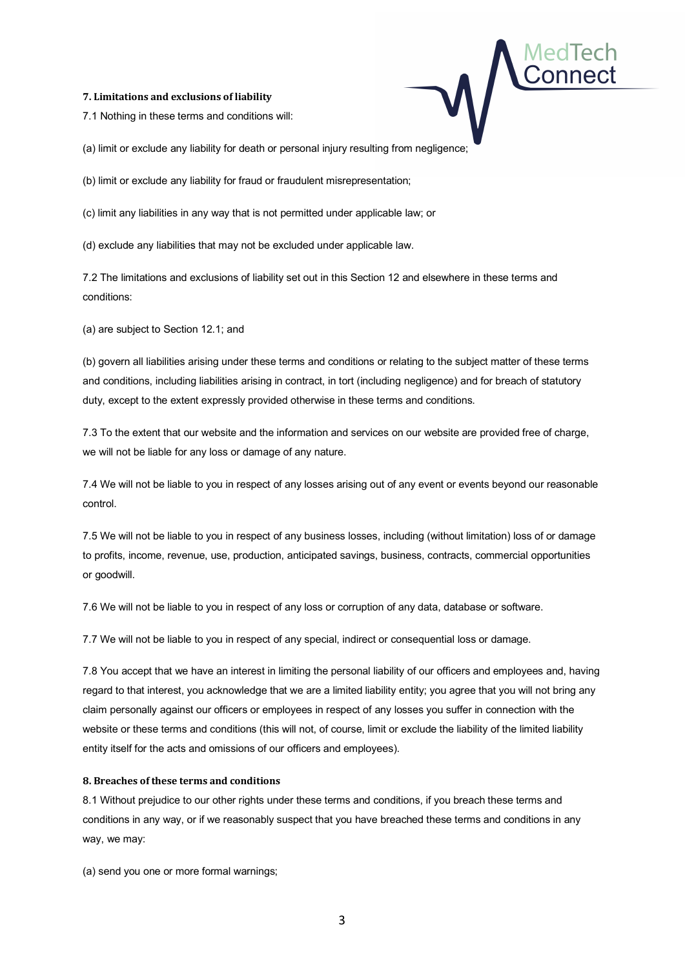#### **7. Limitations and exclusions of liability**

7.1 Nothing in these terms and conditions will:

(a) limit or exclude any liability for death or personal injury resulting from negligence;

(b) limit or exclude any liability for fraud or fraudulent misrepresentation;

(c) limit any liabilities in any way that is not permitted under applicable law; or

(d) exclude any liabilities that may not be excluded under applicable law.

7.2 The limitations and exclusions of liability set out in this Section 12 and elsewhere in these terms and conditions:

MedTech Connect

(a) are subject to Section 12.1; and

(b) govern all liabilities arising under these terms and conditions or relating to the subject matter of these terms and conditions, including liabilities arising in contract, in tort (including negligence) and for breach of statutory duty, except to the extent expressly provided otherwise in these terms and conditions.

7.3 To the extent that our website and the information and services on our website are provided free of charge, we will not be liable for any loss or damage of any nature.

7.4 We will not be liable to you in respect of any losses arising out of any event or events beyond our reasonable control.

7.5 We will not be liable to you in respect of any business losses, including (without limitation) loss of or damage to profits, income, revenue, use, production, anticipated savings, business, contracts, commercial opportunities or goodwill.

7.6 We will not be liable to you in respect of any loss or corruption of any data, database or software.

7.7 We will not be liable to you in respect of any special, indirect or consequential loss or damage.

7.8 You accept that we have an interest in limiting the personal liability of our officers and employees and, having regard to that interest, you acknowledge that we are a limited liability entity; you agree that you will not bring any claim personally against our officers or employees in respect of any losses you suffer in connection with the website or these terms and conditions (this will not, of course, limit or exclude the liability of the limited liability entity itself for the acts and omissions of our officers and employees).

#### **8. Breaches of these terms and conditions**

8.1 Without prejudice to our other rights under these terms and conditions, if you breach these terms and conditions in any way, or if we reasonably suspect that you have breached these terms and conditions in any way, we may:

(a) send you one or more formal warnings;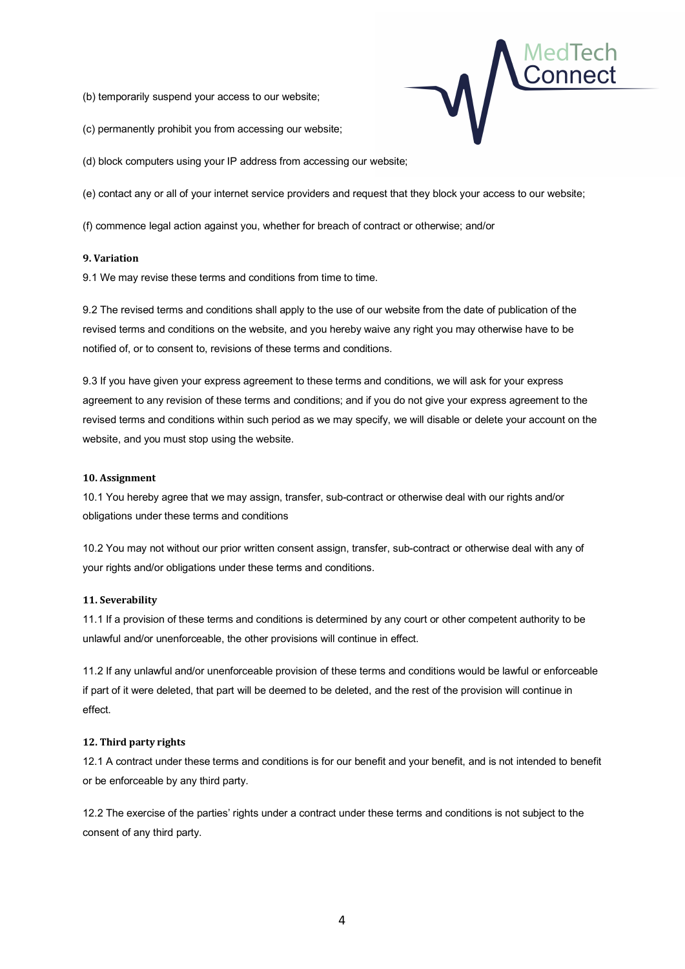(b) temporarily suspend your access to our website;



(c) permanently prohibit you from accessing our website;

(d) block computers using your IP address from accessing our website;

(e) contact any or all of your internet service providers and request that they block your access to our website;

(f) commence legal action against you, whether for breach of contract or otherwise; and/or

## **9. Variation**

9.1 We may revise these terms and conditions from time to time.

9.2 The revised terms and conditions shall apply to the use of our website from the date of publication of the revised terms and conditions on the website, and you hereby waive any right you may otherwise have to be notified of, or to consent to, revisions of these terms and conditions.

9.3 If you have given your express agreement to these terms and conditions, we will ask for your express agreement to any revision of these terms and conditions; and if you do not give your express agreement to the revised terms and conditions within such period as we may specify, we will disable or delete your account on the website, and you must stop using the website.

### **10. Assignment**

10.1 You hereby agree that we may assign, transfer, sub-contract or otherwise deal with our rights and/or obligations under these terms and conditions

10.2 You may not without our prior written consent assign, transfer, sub-contract or otherwise deal with any of your rights and/or obligations under these terms and conditions.

## **11. Severability**

11.1 If a provision of these terms and conditions is determined by any court or other competent authority to be unlawful and/or unenforceable, the other provisions will continue in effect.

11.2 If any unlawful and/or unenforceable provision of these terms and conditions would be lawful or enforceable if part of it were deleted, that part will be deemed to be deleted, and the rest of the provision will continue in effect.

## **12. Third party rights**

12.1 A contract under these terms and conditions is for our benefit and your benefit, and is not intended to benefit or be enforceable by any third party.

12.2 The exercise of the parties' rights under a contract under these terms and conditions is not subject to the consent of any third party.